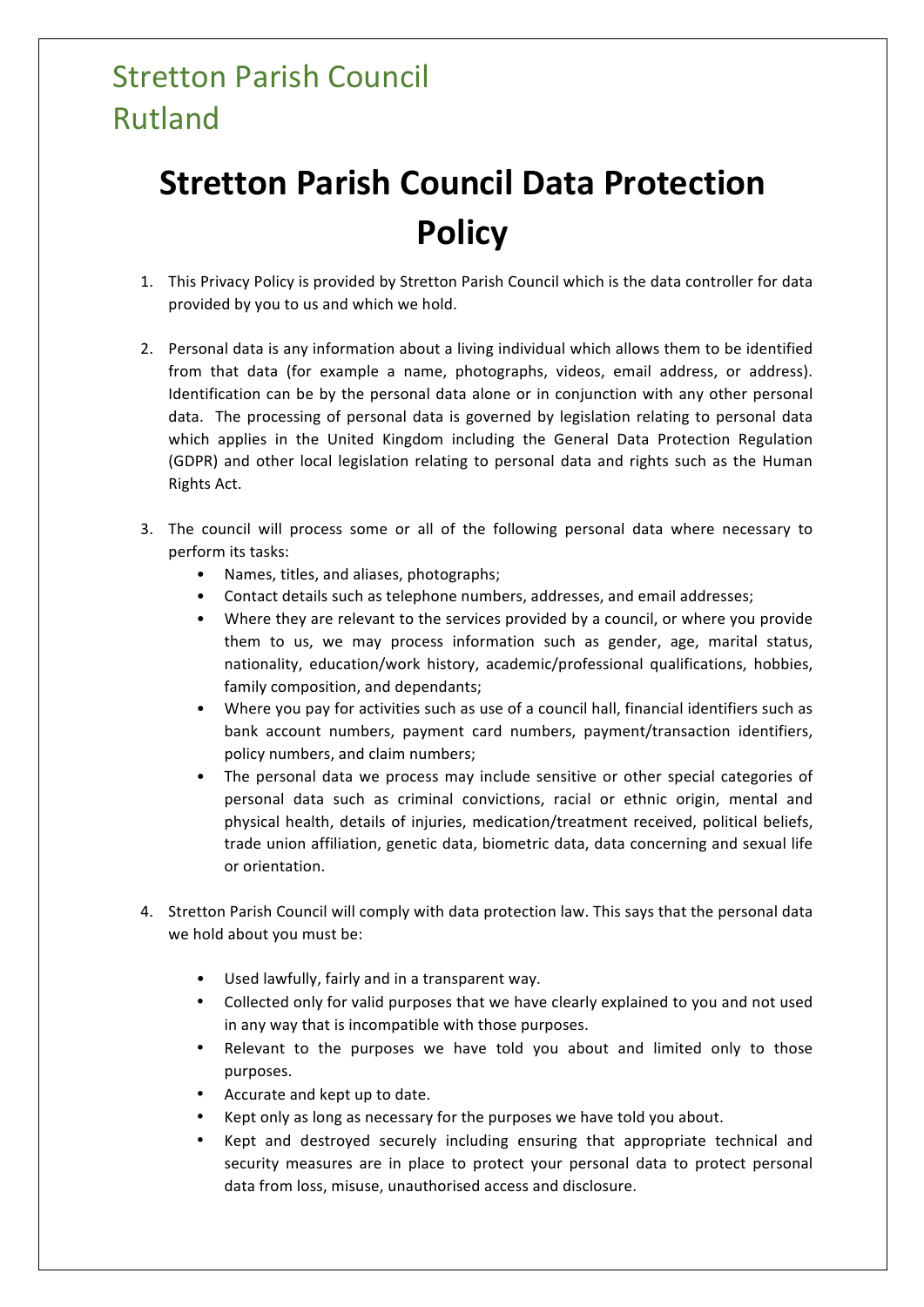## **Stretton Parish Council** Rutland

## **Stretton Parish Council Data Protection Policy**

- 1. This Privacy Policy is provided by Stretton Parish Council which is the data controller for data provided by you to us and which we hold.
- 2. Personal data is any information about a living individual which allows them to be identified from that data (for example a name, photographs, videos, email address, or address). Identification can be by the personal data alone or in conjunction with any other personal data. The processing of personal data is governed by legislation relating to personal data which applies in the United Kingdom including the General Data Protection Regulation (GDPR) and other local legislation relating to personal data and rights such as the Human Rights Act.
- 3. The council will process some or all of the following personal data where necessary to perform its tasks:
	- Names, titles, and aliases, photographs;
	- Contact details such as telephone numbers, addresses, and email addresses;
	- Where they are relevant to the services provided by a council, or where you provide them to us, we may process information such as gender, age, marital status, nationality, education/work history, academic/professional qualifications, hobbies, family composition, and dependants;
	- Where you pay for activities such as use of a council hall, financial identifiers such as bank account numbers, payment card numbers, payment/transaction identifiers, policy numbers, and claim numbers;
	- The personal data we process may include sensitive or other special categories of personal data such as criminal convictions, racial or ethnic origin, mental and physical health, details of injuries, medication/treatment received, political beliefs, trade union affiliation, genetic data, biometric data, data concerning and sexual life or orientation.
- 4. Stretton Parish Council will comply with data protection law. This says that the personal data we hold about you must be:
	- Used lawfully, fairly and in a transparent way.
	- Collected only for valid purposes that we have clearly explained to you and not used in any way that is incompatible with those purposes.
	- Relevant to the purposes we have told you about and limited only to those purposes.
	- Accurate and kept up to date.
	- Kept only as long as necessary for the purposes we have told you about.
	- Kept and destroyed securely including ensuring that appropriate technical and security measures are in place to protect your personal data to protect personal data from loss, misuse, unauthorised access and disclosure.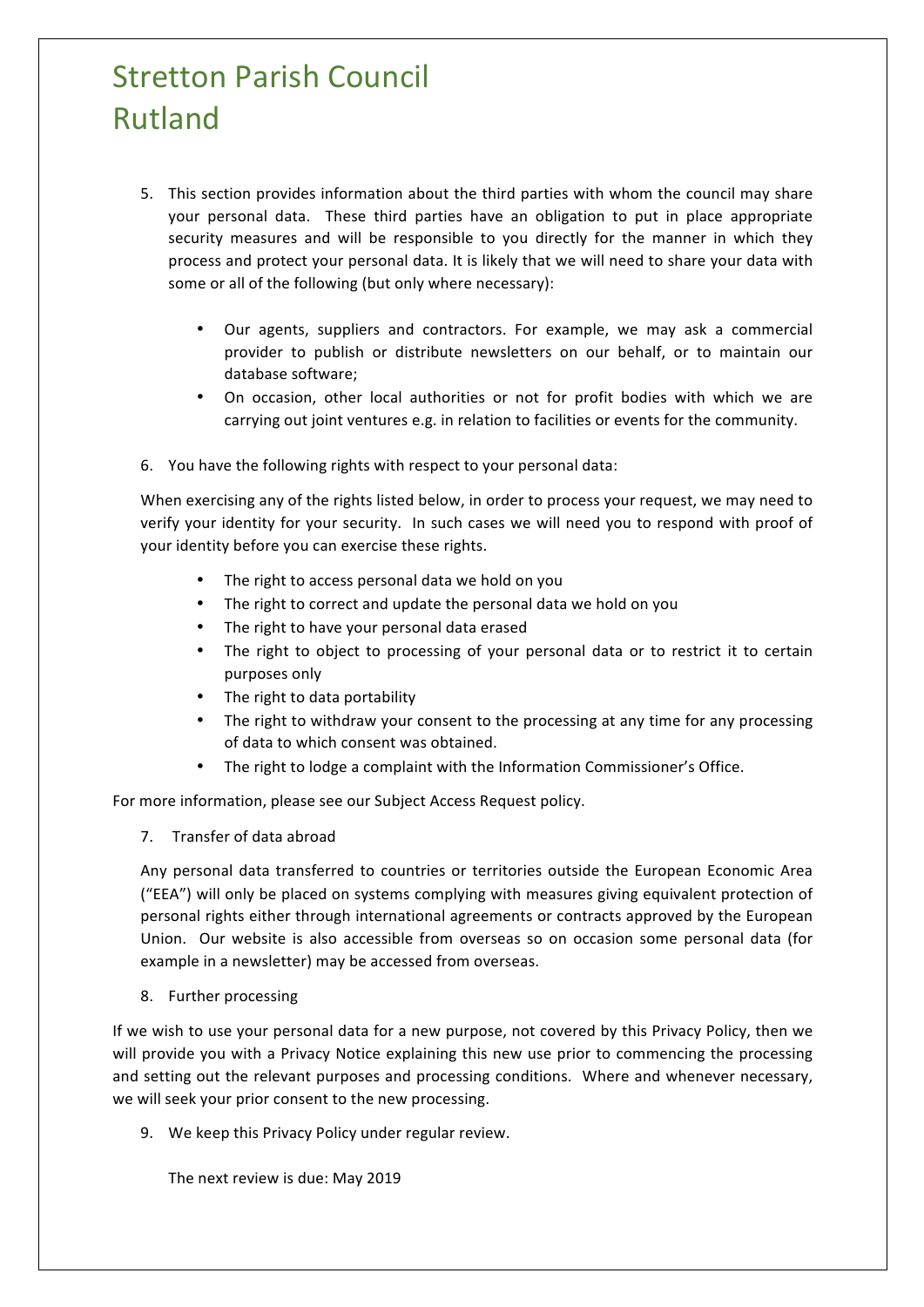## **Stretton Parish Council** Rutland

- 5. This section provides information about the third parties with whom the council may share your personal data. These third parties have an obligation to put in place appropriate security measures and will be responsible to you directly for the manner in which they process and protect your personal data. It is likely that we will need to share your data with some or all of the following (but only where necessary):
	- Our agents, suppliers and contractors. For example, we may ask a commercial provider to publish or distribute newsletters on our behalf, or to maintain our database software:
	- On occasion, other local authorities or not for profit bodies with which we are carrying out joint ventures e.g. in relation to facilities or events for the community.
- 6. You have the following rights with respect to your personal data:

When exercising any of the rights listed below, in order to process your request, we may need to verify your identity for your security. In such cases we will need you to respond with proof of your identity before you can exercise these rights.

- The right to access personal data we hold on you
- The right to correct and update the personal data we hold on you
- The right to have your personal data erased
- The right to object to processing of your personal data or to restrict it to certain purposes only
- The right to data portability
- The right to withdraw your consent to the processing at any time for any processing of data to which consent was obtained.
- The right to lodge a complaint with the Information Commissioner's Office.

For more information, please see our Subject Access Request policy.

7. Transfer of data abroad

Any personal data transferred to countries or territories outside the European Economic Area ("EEA") will only be placed on systems complying with measures giving equivalent protection of personal rights either through international agreements or contracts approved by the European Union. Our website is also accessible from overseas so on occasion some personal data (for example in a newsletter) may be accessed from overseas.

8. Further processing

If we wish to use your personal data for a new purpose, not covered by this Privacy Policy, then we will provide you with a Privacy Notice explaining this new use prior to commencing the processing and setting out the relevant purposes and processing conditions. Where and whenever necessary, we will seek your prior consent to the new processing.

9. We keep this Privacy Policy under regular review.

The next review is due: May 2019